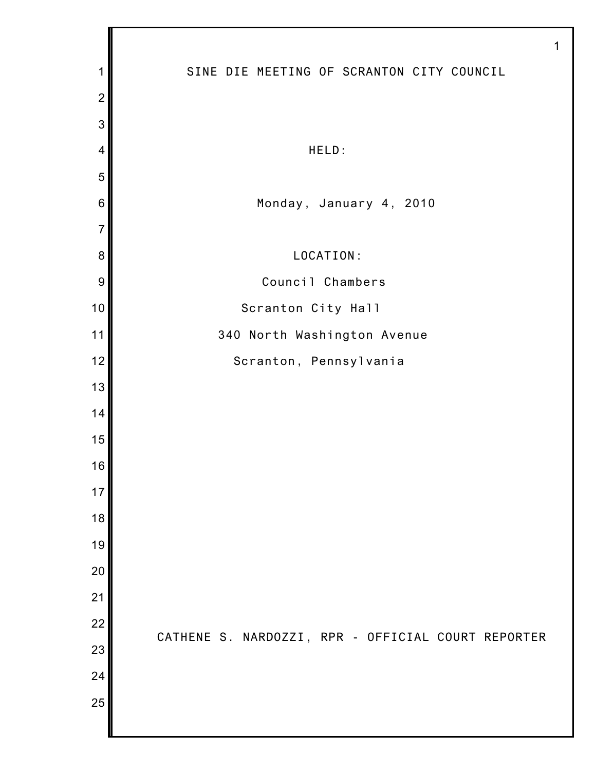|                 | 1                                                  |
|-----------------|----------------------------------------------------|
| 1               | SINE DIE MEETING OF SCRANTON CITY COUNCIL          |
| $\overline{2}$  |                                                    |
| 3               |                                                    |
| $\overline{4}$  | HELD:                                              |
| 5               |                                                    |
| $6\phantom{1}6$ | Monday, January 4, 2010                            |
| $\overline{7}$  |                                                    |
| 8               | LOCATION:                                          |
| 9               | Council Chambers                                   |
| 10              | Scranton City Hall                                 |
| 11              | 340 North Washington Avenue                        |
| 12              | Scranton, Pennsylvania                             |
| 13              |                                                    |
| 14              |                                                    |
| 15              |                                                    |
| 16              |                                                    |
| 17              |                                                    |
| 18              |                                                    |
| 19              |                                                    |
| 20              |                                                    |
| 21              |                                                    |
| 22              | CATHENE S. NARDOZZI, RPR - OFFICIAL COURT REPORTER |
| 23              |                                                    |
| 24              |                                                    |
| 25              |                                                    |
|                 |                                                    |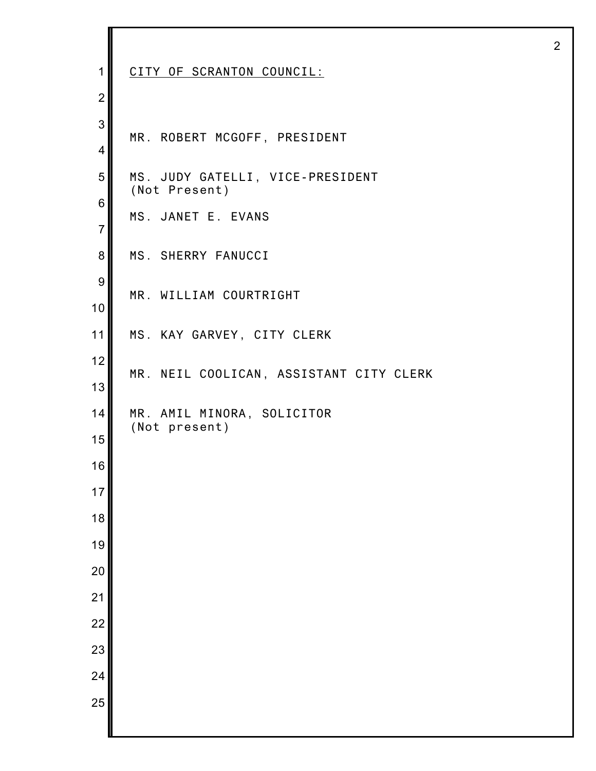| $\mathbf{1}$   | CITY OF SCRANTON COUNCIL:                         |
|----------------|---------------------------------------------------|
| $\overline{2}$ |                                                   |
| 3              | MR. ROBERT MCGOFF, PRESIDENT                      |
| 4              |                                                   |
| 5              | MS. JUDY GATELLI, VICE-PRESIDENT<br>(Not Present) |
| 6              | MS. JANET E. EVANS                                |
| $\overline{7}$ |                                                   |
| 8              | MS. SHERRY FANUCCI                                |
| 9              | MR. WILLIAM COURTRIGHT                            |
| 10<br>11       | MS. KAY GARVEY, CITY CLERK                        |
| 12             |                                                   |
| 13             | MR. NEIL COOLICAN, ASSISTANT CITY CLERK           |
| 14             | MR. AMIL MINORA, SOLICITOR                        |
| 15             | (Not present)                                     |
| 16             |                                                   |
| 17             |                                                   |
| 18             |                                                   |
| 19             |                                                   |
| 20             |                                                   |
| 21             |                                                   |
| 22             |                                                   |
| 23             |                                                   |
| 24<br>25       |                                                   |
|                |                                                   |

I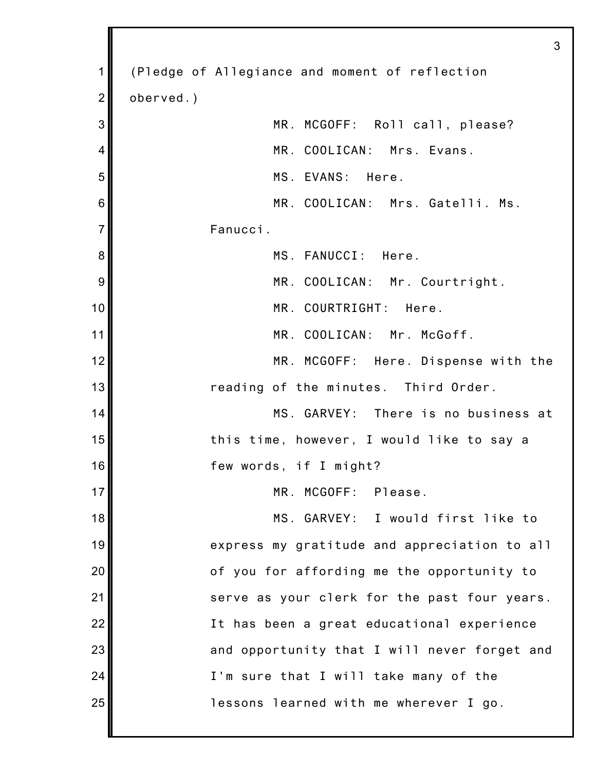|                | 3                                              |
|----------------|------------------------------------------------|
| 1              | (Pledge of Allegiance and moment of reflection |
| $\overline{2}$ | oberved.)                                      |
| 3              | MR. MCGOFF: Roll call, please?                 |
| 4              | MR. COOLICAN: Mrs. Evans.                      |
| 5              | MS. EVANS: Here.                               |
| 6              | MR. COOLICAN: Mrs. Gatelli. Ms.                |
| $\overline{7}$ | Fanucci.                                       |
| 8              | MS. FANUCCI: Here.                             |
| 9              | MR. COOLICAN: Mr. Courtright.                  |
| 10             | MR. COURTRIGHT:<br>Here.                       |
| 11             | MR. COOLICAN: Mr. McGoff.                      |
| 12             | MR. MCGOFF: Here. Dispense with the            |
| 13             | reading of the minutes. Third Order.           |
| 14             | MS. GARVEY: There is no business at            |
| 15             | this time, however, I would like to say a      |
| 16             | few words, if I might?                         |
| 17             | MR. MCGOFF: Please.                            |
| 18             | MS. GARVEY: I would first like to              |
| 19             | express my gratitude and appreciation to all   |
| 20             | of you for affording me the opportunity to     |
| 21             | serve as your clerk for the past four years.   |
| 22             | It has been a great educational experience     |
| 23             | and opportunity that I will never forget and   |
| 24             | I'm sure that I will take many of the          |
| 25             | lessons learned with me wherever I go.         |
|                |                                                |

II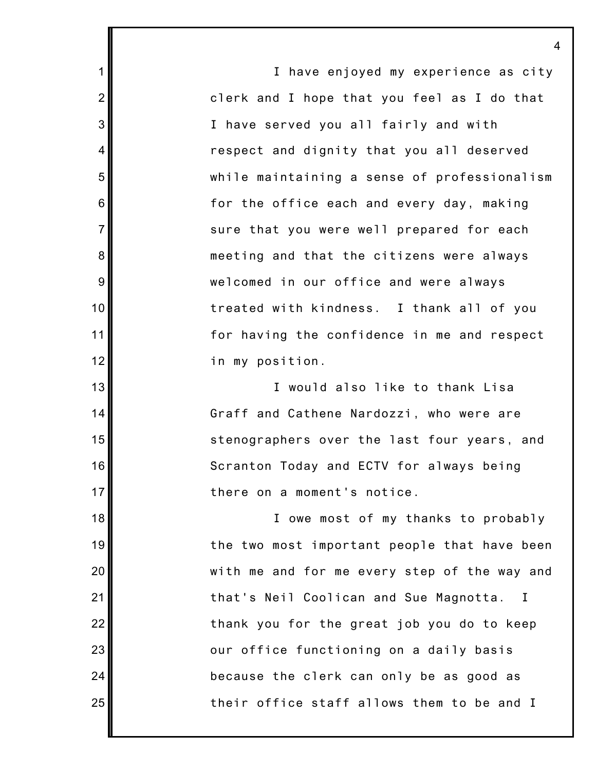I have enjoyed my experience as city clerk and I hope that you feel as I do that I have served you all fairly and with respect and dignity that you all deserved while maintaining a sense of professionalism for the office each and every day, making sure that you were well prepared for each meeting and that the citizens were always welcomed in our office and were always treated with kindness. I thank all of you for having the confidence in me and respect in my position. I would also like to thank Lisa

1

2

3

4

5

6

7

8

9

10

11

12

13

14

15

16

17

18

19

20

21

22

23

24

25

Graff and Cathene Nardozzi, who were are stenographers over the last four years, and Scranton Today and ECTV for always being there on a moment's notice.

I owe most of my thanks to probably the two most important people that have been with me and for me every step of the way and that's Neil Coolican and Sue Magnotta. I thank you for the great job you do to keep our office functioning on a daily basis because the clerk can only be as good as their office staff allows them to be and I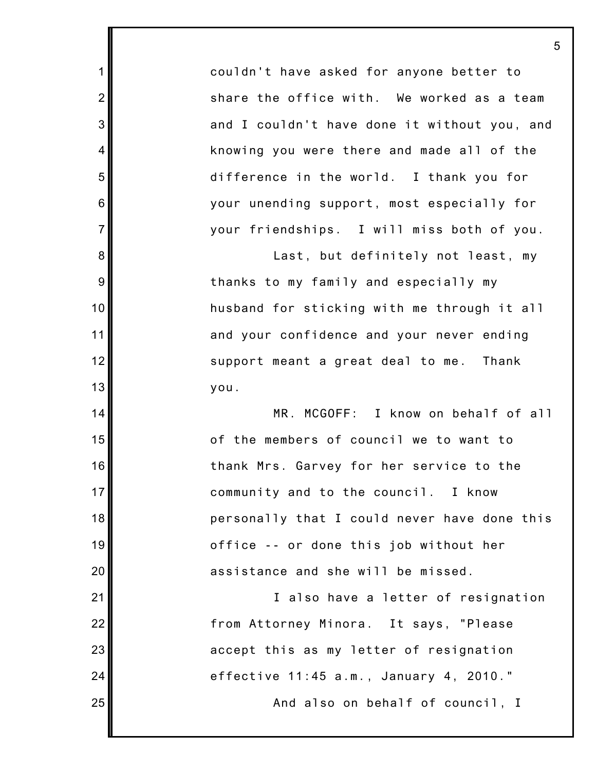couldn't have asked for anyone better to share the office with. We worked as a team and I couldn't have done it without you, and knowing you were there and made all of the difference in the world. I thank you for your unending support, most especially for your friendships. I will miss both of you.

1

2

3

4

5

6

7

8

9

10

11

12

13

14

15

16

17

18

19

20

21

22

23

24

25

Last, but definitely not least, my thanks to my family and especially my husband for sticking with me through it all and your confidence and your never ending support meant a great deal to me. Thank you.

MR. MCGOFF: I know on behalf of all of the members of council we to want to thank Mrs. Garvey for her service to the community and to the council. I know personally that I could never have done this office -- or done this job without her assistance and she will be missed.

I also have a letter of resignation from Attorney Minora. It says, "Please accept this as my letter of resignation effective 11:45 a.m., January 4, 2010."

And also on behalf of council, I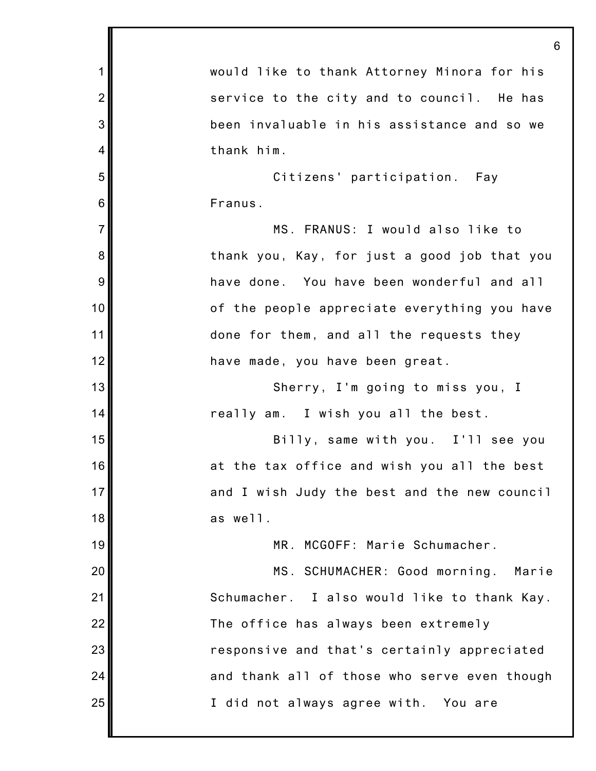|                | 6                                            |
|----------------|----------------------------------------------|
| 1              | would like to thank Attorney Minora for his  |
| $\overline{2}$ | service to the city and to council. He has   |
| 3              | been invaluable in his assistance and so we  |
| 4              | thank him.                                   |
| 5              | Citizens' participation. Fay                 |
| $\,6$          | Franus.                                      |
| $\overline{7}$ | MS. FRANUS: I would also like to             |
| 8              | thank you, Kay, for just a good job that you |
| 9              | have done. You have been wonderful and all   |
| 10             | of the people appreciate everything you have |
| 11             | done for them, and all the requests they     |
| 12             | have made, you have been great.              |
| 13             | Sherry, I'm going to miss you, I             |
| 14             | really am. I wish you all the best.          |
| 15             | Billy, same with you. I'll see you           |
| 16             | at the tax office and wish you all the best  |
| 17             | and I wish Judy the best and the new council |
| 18             | as well.                                     |
| 19             | MR. MCGOFF: Marie Schumacher.                |
| 20             | MS. SCHUMACHER: Good morning. Marie          |
| 21             | Schumacher. I also would like to thank Kay.  |
| 22             | The office has always been extremely         |
| 23             | responsive and that's certainly appreciated  |
| 24             | and thank all of those who serve even though |
| 25             | I did not always agree with. You are         |
|                |                                              |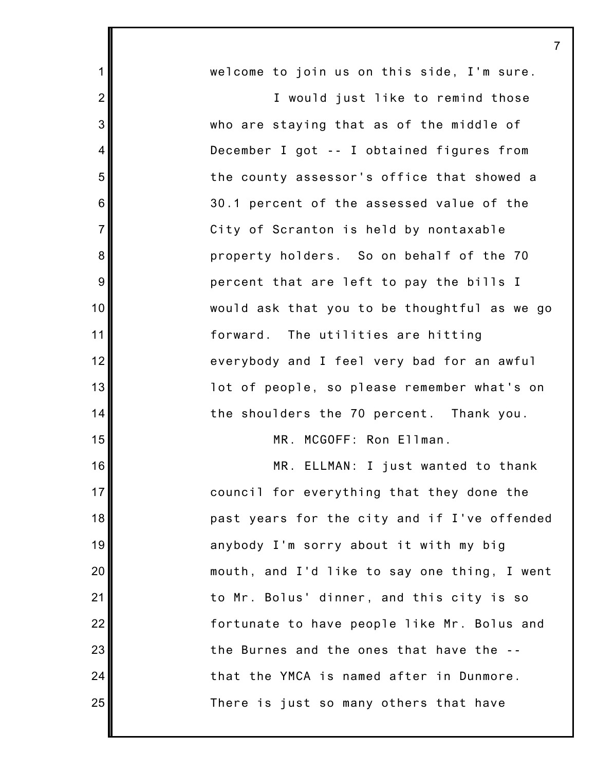| 1              | welcome to join us on this side, I'm sure.   |
|----------------|----------------------------------------------|
| $\overline{2}$ | I would just like to remind those            |
| 3              | who are staying that as of the middle of     |
| 4              | December I got -- I obtained figures from    |
| 5              | the county assessor's office that showed a   |
| 6              | 30.1 percent of the assessed value of the    |
| $\overline{7}$ | City of Scranton is held by nontaxable       |
| 8              | property holders. So on behalf of the 70     |
| $9\,$          | percent that are left to pay the bills I     |
| 10             | would ask that you to be thoughtful as we go |
| 11             | forward. The utilities are hitting           |
| 12             | everybody and I feel very bad for an awful   |
| 13             | lot of people, so please remember what's on  |
| 14             | the shoulders the 70 percent. Thank you.     |
| 15             | MR. MCGOFF: Ron Ellman.                      |
| 16             | MR. ELLMAN: I just wanted to thank           |
| 17             | council for everything that they done the    |
| 18             | past years for the city and if I've offended |
| 19             | anybody I'm sorry about it with my big       |
| 20             | mouth, and I'd like to say one thing, I went |
| 21             | to Mr. Bolus' dinner, and this city is so    |
| 22             | fortunate to have people like Mr. Bolus and  |
| 23             | the Burnes and the ones that have the --     |
| 24             | that the YMCA is named after in Dunmore.     |
| 25             | There is just so many others that have       |

∥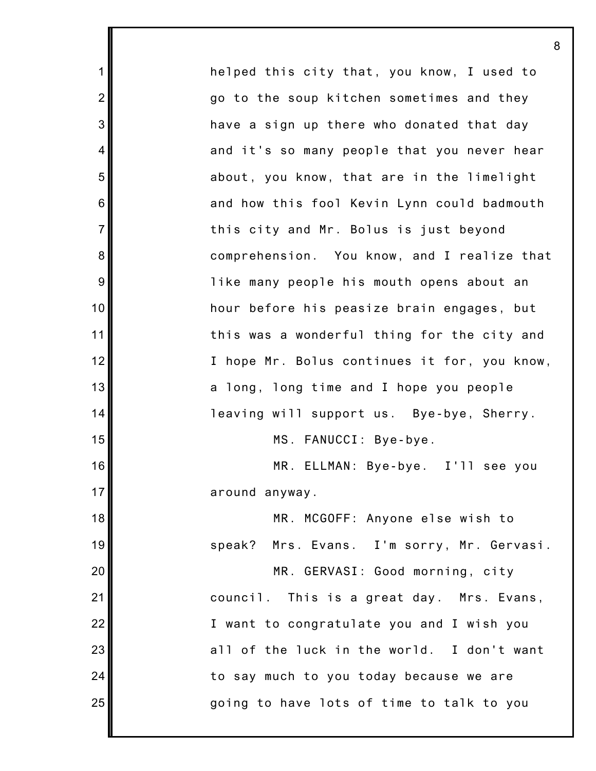helped this city that, you know, I used to go to the soup kitchen sometimes and they have a sign up there who donated that day and it's so many people that you never hear about, you know, that are in the limelight and how this fool Kevin Lynn could badmouth this city and Mr. Bolus is just beyond comprehension. You know, and I realize that like many people his mouth opens about an hour before his peasize brain engages, but this was a wonderful thing for the city and I hope Mr. Bolus continues it for, you know, a long, long time and I hope you people leaving will support us. Bye-bye, Sherry. MS. FANUCCI: Bye-bye. MR. ELLMAN: Bye-bye. I'll see you around anyway. MR. MCGOFF: Anyone else wish to speak? Mrs. Evans. I'm sorry, Mr. Gervasi. MR. GERVASI: Good morning, city council. This is a great day. Mrs. Evans, I want to congratulate you and I wish you all of the luck in the world. I don't want to say much to you today because we are going to have lots of time to talk to you

1

2

3

4

5

6

7

8

9

10

11

12

13

14

15

16

17

18

19

20

21

22

23

24

25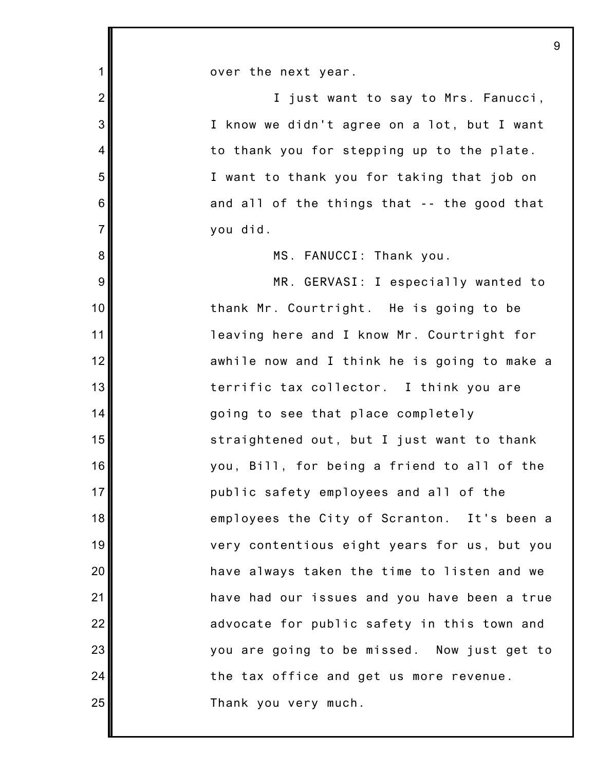1 2 3 4 5 6 7 8 9 10 11 12 13 14 15 16 17 18 19 20 21 22 23 24 25 over the next year. I just want to say to Mrs. Fanucci, I know we didn't agree on a lot, but I want to thank you for stepping up to the plate. I want to thank you for taking that job on and all of the things that -- the good that you did. MS. FANUCCI: Thank you. MR. GERVASI: I especially wanted to thank Mr. Courtright. He is going to be leaving here and I know Mr. Courtright for awhile now and I think he is going to make a terrific tax collector. I think you are going to see that place completely straightened out, but I just want to thank you, Bill, for being a friend to all of the public safety employees and all of the employees the City of Scranton. It's been a very contentious eight years for us, but you have always taken the time to listen and we have had our issues and you have been a true advocate for public safety in this town and you are going to be missed. Now just get to the tax office and get us more revenue. Thank you very much.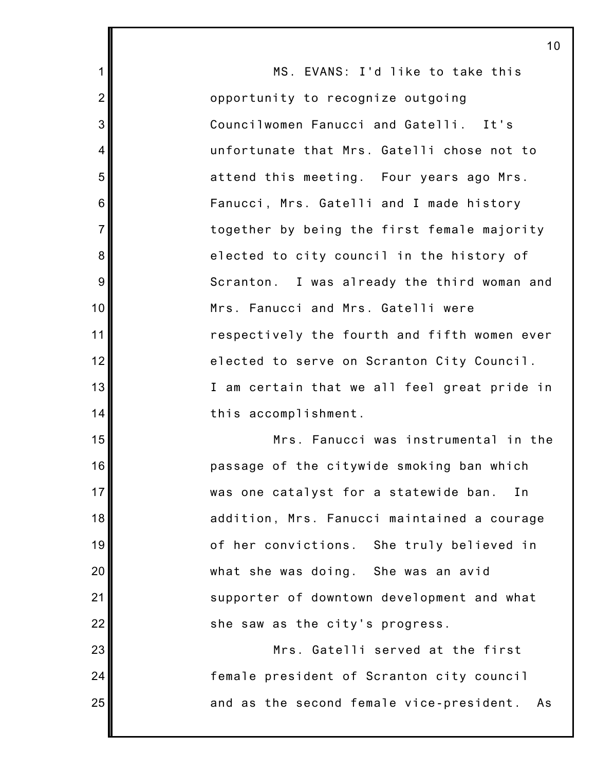MS. EVANS: I'd like to take this opportunity to recognize outgoing Councilwomen Fanucci and Gatelli. It's unfortunate that Mrs. Gatelli chose not to attend this meeting. Four years ago Mrs. Fanucci, Mrs. Gatelli and I made history together by being the first female majority elected to city council in the history of Scranton. I was already the third woman and Mrs. Fanucci and Mrs. Gatelli were respectively the fourth and fifth women ever elected to serve on Scranton City Council. I am certain that we all feel great pride in this accomplishment. Mrs. Fanucci was instrumental in the

1

2

3

4

5

6

7

8

9

10

11

12

13

14

15

16

17

18

19

20

21

22

23

24

25

passage of the citywide smoking ban which was one catalyst for a statewide ban. In addition, Mrs. Fanucci maintained a courage of her convictions. She truly believed in what she was doing. She was an avid supporter of downtown development and what she saw as the city's progress.

Mrs. Gatelli served at the first female president of Scranton city council and as the second female vice-president. As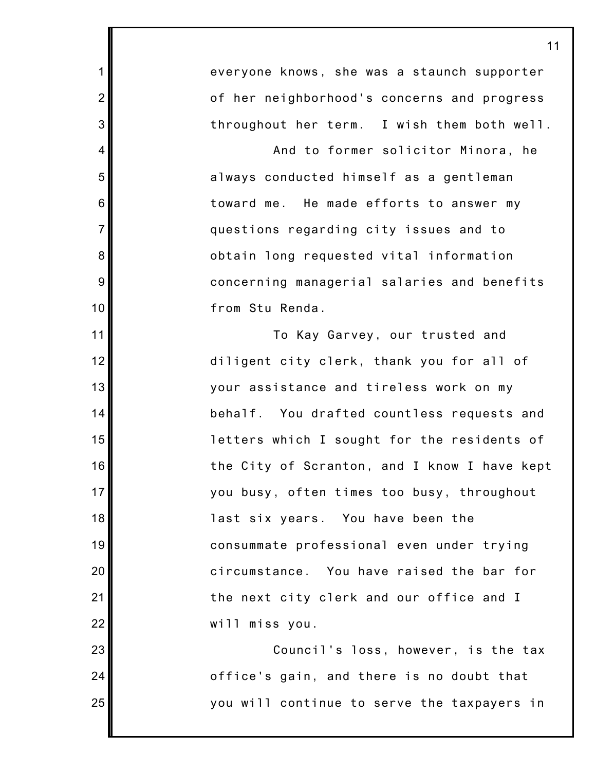everyone knows, she was a staunch supporter of her neighborhood's concerns and progress throughout her term. I wish them both well.

1

2

3

4

5

6

7

8

9

10

11

12

13

14

15

16

17

18

19

20

21

22

23

24

25

And to former solicitor Minora, he always conducted himself as a gentleman toward me. He made efforts to answer my questions regarding city issues and to obtain long requested vital information concerning managerial salaries and benefits from Stu Renda.

To Kay Garvey, our trusted and diligent city clerk, thank you for all of your assistance and tireless work on my behalf. You drafted countless requests and letters which I sought for the residents of the City of Scranton, and I know I have kept you busy, often times too busy, throughout last six years. You have been the consummate professional even under trying circumstance. You have raised the bar for the next city clerk and our office and I will miss you.

Council's loss, however, is the tax office's gain, and there is no doubt that you will continue to serve the taxpayers in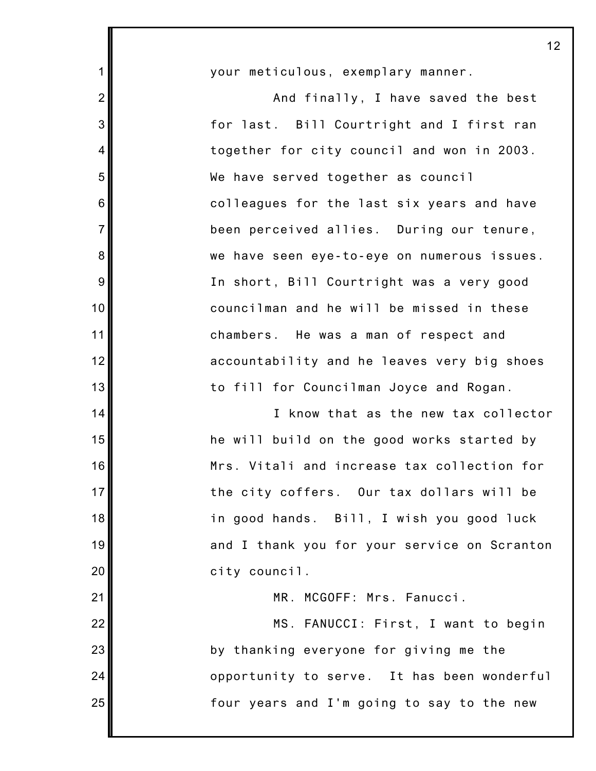your meticulous, exemplary manner.

1

2

3

4

5

6

7

8

9

10

11

12

13

14

15

16

17

18

19

20

21

22

23

24

25

And finally, I have saved the best for last. Bill Courtright and I first ran together for city council and won in 2003. We have served together as council colleagues for the last six years and have been perceived allies. During our tenure, we have seen eye-to-eye on numerous issues. In short, Bill Courtright was a very good councilman and he will be missed in these chambers. He was a man of respect and accountability and he leaves very big shoes to fill for Councilman Joyce and Rogan.

I know that as the new tax collector he will build on the good works started by Mrs. Vitali and increase tax collection for the city coffers. Our tax dollars will be in good hands. Bill, I wish you good luck and I thank you for your service on Scranton city council.

MR. MCGOFF: Mrs. Fanucci.

MS. FANUCCI: First, I want to begin by thanking everyone for giving me the opportunity to serve. It has been wonderful four years and I'm going to say to the new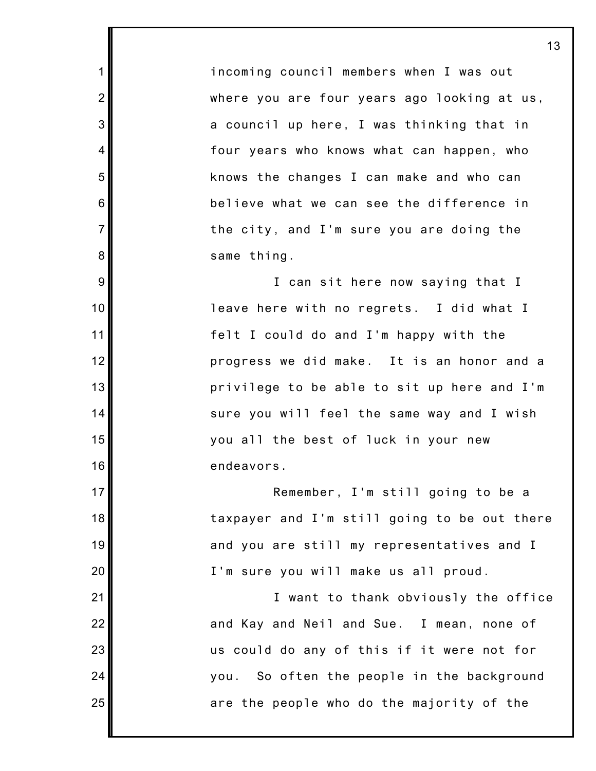incoming council members when I was out where you are four years ago looking at us, a council up here, I was thinking that in four years who knows what can happen, who knows the changes I can make and who can believe what we can see the difference in the city, and I'm sure you are doing the same thing.

1

2

3

4

5

6

7

8

9

10

11

12

13

14

15

16

17

18

19

20

21

22

23

24

25

I can sit here now saying that I leave here with no regrets. I did what I felt I could do and I'm happy with the progress we did make. It is an honor and a privilege to be able to sit up here and I'm sure you will feel the same way and I wish you all the best of luck in your new endeavors.

Remember, I'm still going to be a taxpayer and I'm still going to be out there and you are still my representatives and I I'm sure you will make us all proud.

I want to thank obviously the office and Kay and Neil and Sue. I mean, none of us could do any of this if it were not for you. So often the people in the background are the people who do the majority of the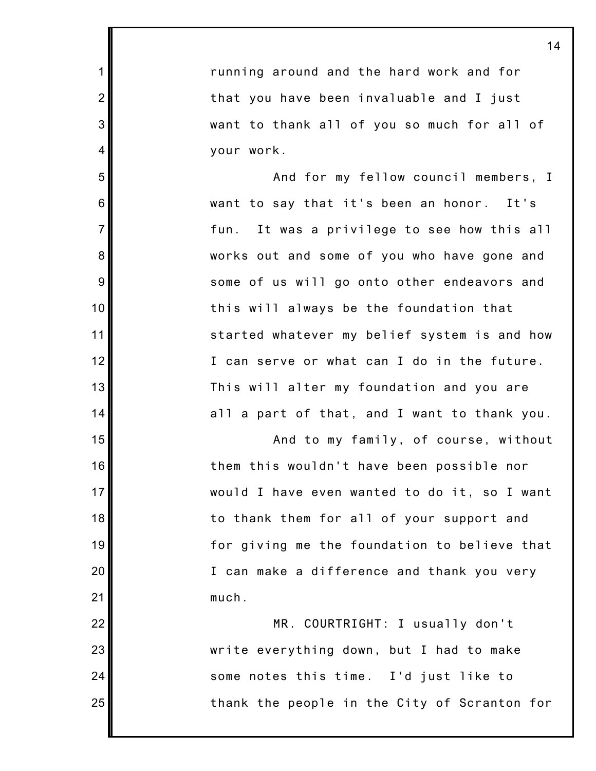running around and the hard work and for that you have been invaluable and I just want to thank all of you so much for all of your work.

1

2

3

4

5

6

7

8

9

10

11

12

13

14

15

16

17

18

19

20

21

22

23

24

25

And for my fellow council members, I want to say that it's been an honor. It's fun. It was a privilege to see how this all works out and some of you who have gone and some of us will go onto other endeavors and this will always be the foundation that started whatever my belief system is and how I can serve or what can I do in the future. This will alter my foundation and you are all a part of that, and I want to thank you.

And to my family, of course, without them this wouldn't have been possible nor would I have even wanted to do it, so I want to thank them for all of your support and for giving me the foundation to believe that I can make a difference and thank you very much.

MR. COURTRIGHT: I usually don't write everything down, but I had to make some notes this time. I'd just like to thank the people in the City of Scranton for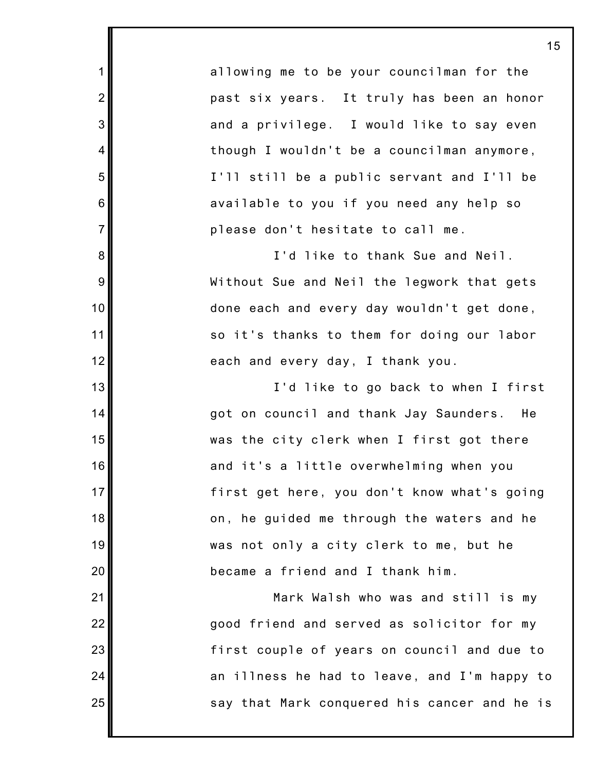allowing me to be your councilman for the past six years. It truly has been an honor and a privilege. I would like to say even though I wouldn't be a councilman anymore, I'll still be a public servant and I'll be available to you if you need any help so please don't hesitate to call me.

1

2

3

4

5

6

7

8

9

10

11

12

13

14

15

16

17

18

19

20

21

22

23

24

25

I'd like to thank Sue and Neil. Without Sue and Neil the legwork that gets done each and every day wouldn't get done, so it's thanks to them for doing our labor each and every day, I thank you.

I'd like to go back to when I first got on council and thank Jay Saunders. He was the city clerk when I first got there and it's a little overwhelming when you first get here, you don't know what's going on, he guided me through the waters and he was not only a city clerk to me, but he became a friend and I thank him.

Mark Walsh who was and still is my good friend and served as solicitor for my first couple of years on council and due to an illness he had to leave, and I'm happy to say that Mark conquered his cancer and he is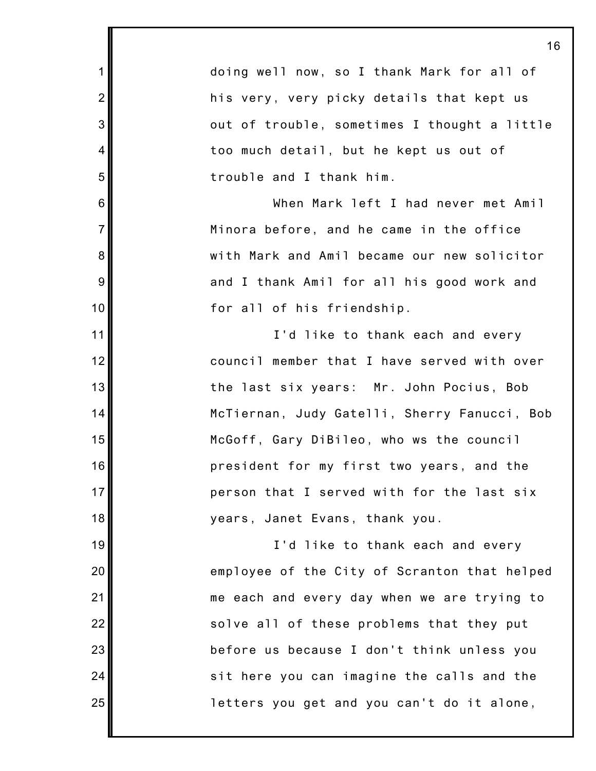|                  | 16                                           |
|------------------|----------------------------------------------|
| $\mathbf 1$      | doing well now, so I thank Mark for all of   |
| $\overline{2}$   | his very, very picky details that kept us    |
| $\mathbf{3}$     | out of trouble, sometimes I thought a little |
| 4                | too much detail, but he kept us out of       |
| 5                | trouble and I thank him.                     |
| $6\phantom{1}6$  | When Mark left I had never met Amil          |
| $\overline{7}$   | Minora before, and he came in the office     |
| 8                | with Mark and Amil became our new solicitor  |
| $\boldsymbol{9}$ | and I thank Amil for all his good work and   |
| 10               | for all of his friendship.                   |
| 11               | I'd like to thank each and every             |
| 12               | council member that I have served with over  |
| 13               | the last six years: Mr. John Pocius, Bob     |
| 14               | McTiernan, Judy Gatelli, Sherry Fanucci, Bob |
| 15               | McGoff, Gary DiBileo, who ws the council     |
| 16               | president for my first two years, and the    |
| 17               | person that I served with for the last six   |
| 18               | years, Janet Evans, thank you.               |
| 19               | I'd like to thank each and every             |
| 20               | employee of the City of Scranton that helped |
| 21               | me each and every day when we are trying to  |
| 22               | solve all of these problems that they put    |
| 23               | before us because I don't think unless you   |
| 24               | sit here you can imagine the calls and the   |
| 25               | letters you get and you can't do it alone,   |

I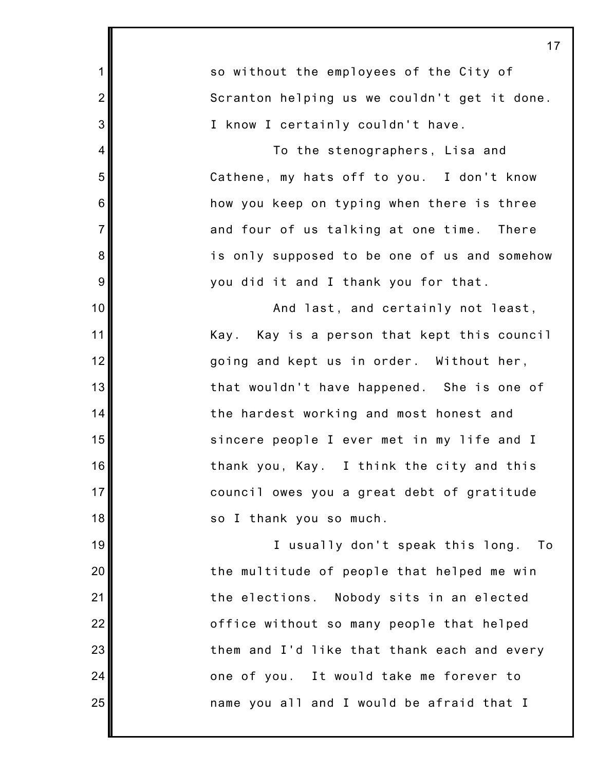1 2 3 4 5 6 7 8 9 10 11 12 13 14 15 16 17 18 19 20 21 22 23 24 25 17 so without the employees of the City of Scranton helping us we couldn't get it done. I know I certainly couldn't have. To the stenographers, Lisa and Cathene, my hats off to you. I don't know how you keep on typing when there is three and four of us talking at one time. There is only supposed to be one of us and somehow you did it and I thank you for that. And last, and certainly not least, Kay. Kay is a person that kept this council going and kept us in order. Without her, that wouldn't have happened. She is one of the hardest working and most honest and sincere people I ever met in my life and I thank you, Kay. I think the city and this council owes you a great debt of gratitude so I thank you so much. I usually don't speak this long. To the multitude of people that helped me win the elections. Nobody sits in an elected office without so many people that helped them and I'd like that thank each and every one of you. It would take me forever to name you all and I would be afraid that I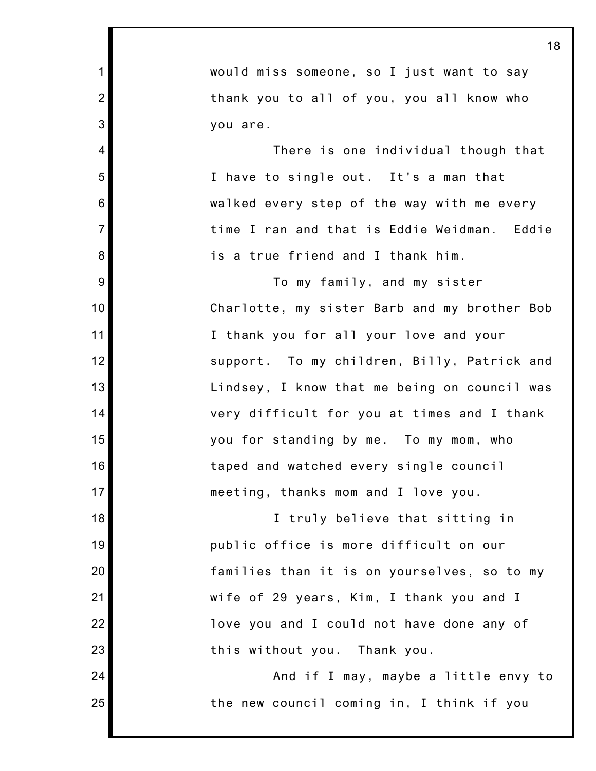|                | <u> 1 (</u>                                  |
|----------------|----------------------------------------------|
| 1              | would miss someone, so I just want to say    |
| $\overline{2}$ | thank you to all of you, you all know who    |
| 3              | you are.                                     |
| $\overline{4}$ | There is one individual though that          |
| 5              | I have to single out. It's a man that        |
| 6              | walked every step of the way with me every   |
| $\overline{7}$ | time I ran and that is Eddie Weidman. Eddie  |
| 8              | is a true friend and I thank him.            |
| 9              | To my family, and my sister                  |
| 10             | Charlotte, my sister Barb and my brother Bob |
| 11             | I thank you for all your love and your       |
| 12             | support. To my children, Billy, Patrick and  |
| 13             | Lindsey, I know that me being on council was |
| 14             | very difficult for you at times and I thank  |
| 15             | you for standing by me. To my mom, who       |
| 16             | taped and watched every single council       |
| 17             | meeting, thanks mom and I love you.          |
| 18             | I truly believe that sitting in              |
| 19             | public office is more difficult on our       |
| 20             | families than it is on yourselves, so to my  |
| 21             | wife of 29 years, Kim, I thank you and I     |
| 22             | love you and I could not have done any of    |
| 23             | this without you. Thank you.                 |
| 24             | And if I may, maybe a little envy to         |
| 25             | the new council coming in, I think if you    |
|                |                                              |

Ш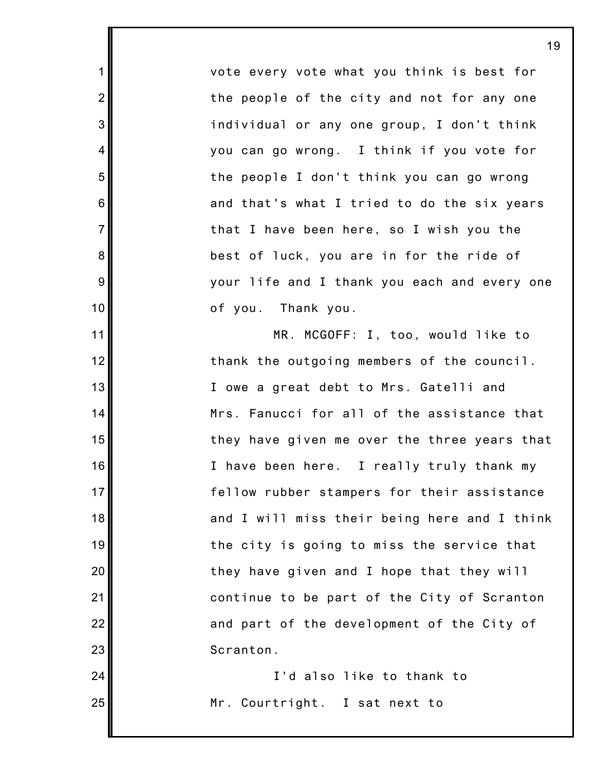vote every vote what you think is best for the people of the city and not for any one individual or any one group, I don't think you can go wrong. I think if you vote for the people I don't think you can go wrong and that's what I tried to do the six years that I have been here, so I wish you the best of luck, you are in for the ride of your life and I thank you each and every one of you. Thank you.

1

2

3

4

5

6

7

8

9

10

11

12

13

14

15

16

17

18

19

20

21

22

23

24

25

MR. MCGOFF: I, too, would like to thank the outgoing members of the council. I owe a great debt to Mrs. Gatelli and Mrs. Fanucci for all of the assistance that they have given me over the three years that I have been here. I really truly thank my fellow rubber stampers for their assistance and I will miss their being here and I think the city is going to miss the service that they have given and I hope that they will continue to be part of the City of Scranton and part of the development of the City of Scranton.

I'd also like to thank to Mr. Courtright. I sat next to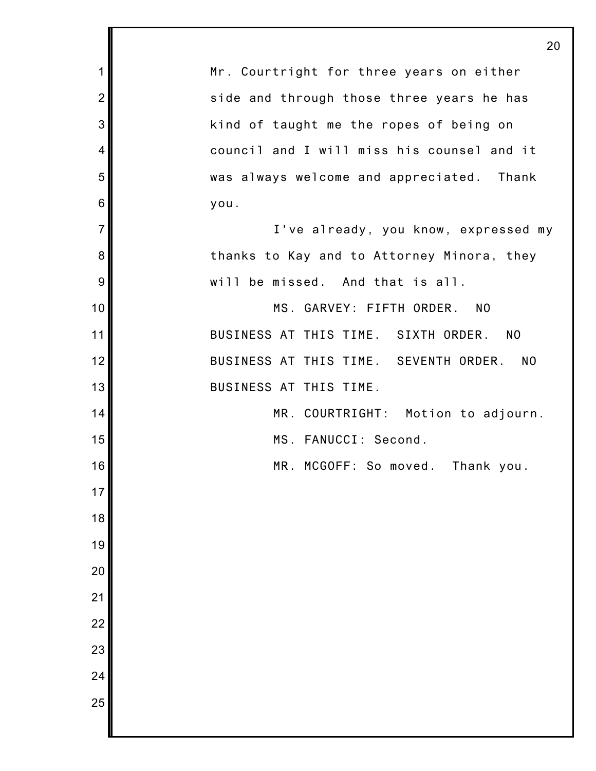|                | 20                                           |
|----------------|----------------------------------------------|
| 1              | Mr. Courtright for three years on either     |
| $\overline{2}$ | side and through those three years he has    |
| 3              | kind of taught me the ropes of being on      |
| 4              | council and I will miss his counsel and it   |
| 5              | was always welcome and appreciated. Thank    |
| 6              | you.                                         |
| $\overline{7}$ | I've already, you know, expressed my         |
| 8              | thanks to Kay and to Attorney Minora, they   |
| 9              | will be missed. And that is all.             |
| 10             | MS. GARVEY: FIFTH ORDER.<br>N <sub>0</sub>   |
| 11             | BUSINESS AT THIS TIME. SIXTH ORDER. NO       |
| 12             | BUSINESS AT THIS TIME. SEVENTH ORDER.<br>NO. |
| 13             | BUSINESS AT THIS TIME.                       |
| 14             | MR. COURTRIGHT: Motion to adjourn.           |
| 15             | MS. FANUCCI: Second.                         |
| 16             | MR. MCGOFF: So moved.<br>Thank you.          |
| 17             |                                              |
| 18             |                                              |
| 19             |                                              |
| 20             |                                              |
| 21             |                                              |
| 22             |                                              |
| 23             |                                              |
| 24             |                                              |
| 25             |                                              |
|                |                                              |